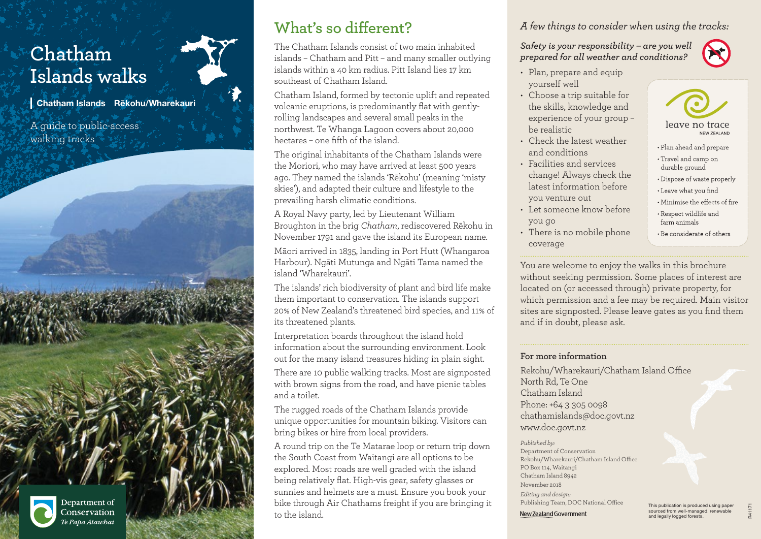# **Chatham Islands walks**

Chatham Islands Rēkohu/Wharekauri

A guide to public-access walking tracks



Department of Conservation .<br>Te Papa Atawbai

# **What's so different?**

The Chatham Islands consist of two main inhabited islands – Chatham and Pitt – and many smaller outlying islands within a 40 km radius. Pitt Island lies 17 km southeast of Chatham Island.

Chatham Island, formed by tectonic uplift and repeated volcanic eruptions, is predominantly flat with gentlyrolling landscapes and several small peaks in the northwest. Te Whanga Lagoon covers about 20,000 hectares – one fifth of the island.

The original inhabitants of the Chatham Islands were the Moriori, who may have arrived at least 500 years ago. They named the islands 'Rēkohu' (meaning 'misty skies'), and adapted their culture and lifestyle to the prevailing harsh climatic conditions.

A Royal Navy party, led by Lieutenant William Broughton in the brig *Chatham*, rediscovered Rēkohu in November 1791 and gave the island its European name. Māori arrived in 1835, landing in Port Hutt (Whangaroa Harbour). Ngāti Mutunga and Ngāti Tama named the island 'Wharekauri'.

The islands' rich biodiversity of plant and bird life make them important to conservation. The islands support 20% of New Zealand's threatened bird species, and 11% of its threatened plants.

Interpretation boards throughout the island hold information about the surrounding environment. Look out for the many island treasures hiding in plain sight.

There are 10 public walking tracks. Most are signposted with brown signs from the road, and have picnic tables and a toilet.

The rugged roads of the Chatham Islands provide unique opportunities for mountain biking. Visitors can bring bikes or hire from local providers.

A round trip on the Te Matarae loop or return trip down the South Coast from Waitangi are all options to be explored. Most roads are well graded with the island being relatively flat. High-vis gear, safety glasses or sunnies and helmets are a must. Ensure you book your bike through Air Chathams freight if you are bringing it to the island.

*A few things to consider when using the tracks:*

*Safety is your responsibility – are you well prepared for all weather and conditions?* 

- Plan, prepare and equip yourself well
- Choose a trip suitable for the skills, knowledge and experience of your group – be realistic
- Check the latest weather and conditions
- Facilities and services change! Always check the latest information before you venture out
- Let someone know before you go
- There is no mobile phone coverage

You are welcome to enjoy the walks in this brochure without seeking permission. Some places of interest are located on (or accessed through) private property, for which permission and a fee may be required. Main visitor sites are signposted. Please leave gates as you find them and if in doubt, please ask.

#### **For more information**

Rekohu/Wharekauri/Chatham Island Office North Rd, Te One Chatham Island Phone: +64 3 305 0098 chathamislands@doc.govt.nz www.doc.govt.nz

*Published by:* Department of Conservation Rekohu/Wharekauri/Chatham Island Office PO Box 114, Waitangi Chatham Island 8942 November 2018 *Editing and design:*  Publishing Team, DOC National Office New Zealand Government

This publication is produced using paper sourced from well-managed, renewable and legally logged forests.

R41171

- leave no trace NEW ZEALAND
- Plan ahead and prepare • Travel and camp on durable ground • Dispose of waste properly • Leave what you find

• Minimise the effects of fire • Respect wildlife and farm animals • Be considerate of others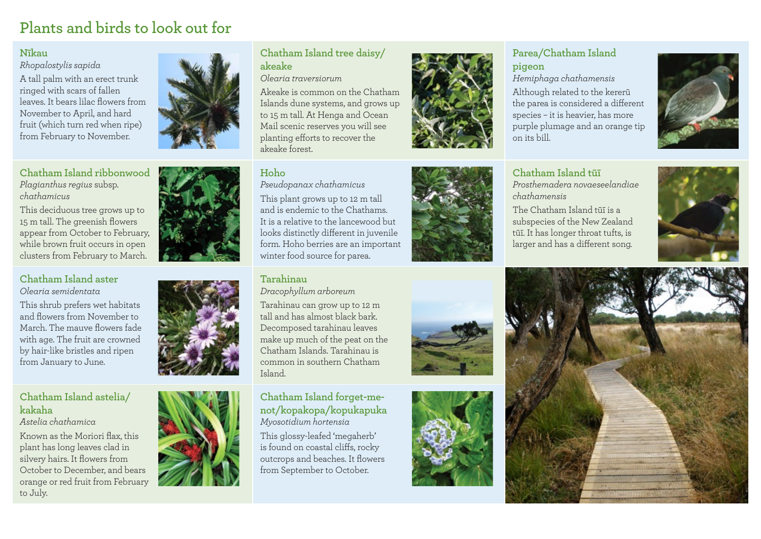# **Plants and birds to look out for**

#### **Nīkau**

*Rhopalostylis sapida*

A tall palm with an erect trunk ringed with scars of fallen leaves. It bears lilac flowers from November to April, and hard fruit (which turn red when ripe) from February to November.

#### **Chatham Island ribbonwood** *Plagianthus regius* subsp. *chathamicus*

This deciduous tree grows up to 15 m tall. The greenish flowers appear from October to February, while brown fruit occurs in open clusters from February to March.

#### **Chatham Island aster** *Olearia semidentata*

This shrub prefers wet habitats and flowers from November to March. The mauve flowers fade with age. The fruit are crowned by hair-like bristles and ripen from January to June.

#### **Chatham Island astelia/ kakaha**

*Astelia chathamica*

Known as the Moriori flax, this plant has long leaves clad in silvery hairs. It flowers from October to December, and bears orange or red fruit from February to July.





#### **Chatham Island tree daisy/ akeake**

*Olearia traversiorum*

Akeake is common on the Chatham Islands dune systems, and grows up to 15 m tall. At Henga and Ocean Mail scenic reserves you will see planting efforts to recover the akeake forest.

#### **Hoho**

*Pseudopanax chathamicus* This plant grows up to 12 m tall and is endemic to the Chathams. It is a relative to the lancewood but looks distinctly different in juvenile form. Hoho berries are an important winter food source for parea.

# **Tarahinau**

*Dracophyllum arboreum*

Tarahinau can grow up to 12 m tall and has almost black bark. Decomposed tarahinau leaves make up much of the peat on the Chatham Islands. Tarahinau is common in southern Chatham Island.

**Chatham Island forget-menot/kopakopa/kopukapuka** *Myosotidium hortensia* This glossy-leafed 'megaherb' is found on coastal cliffs, rocky

outcrops and beaches. It flowers from September to October.





#### **Parea/Chatham Island pigeon**

*Hemiphaga chathamensis* Although related to the kererū the parea is considered a different species – it is heavier, has more purple plumage and an orange tip on its bill.



**Chatham Island tūī** *Prosthemadera novaeseelandiae chathamensis*

The Chatham Island tūī is a subspecies of the New Zealand tūī. It has longer throat tufts, is larger and has a different song.









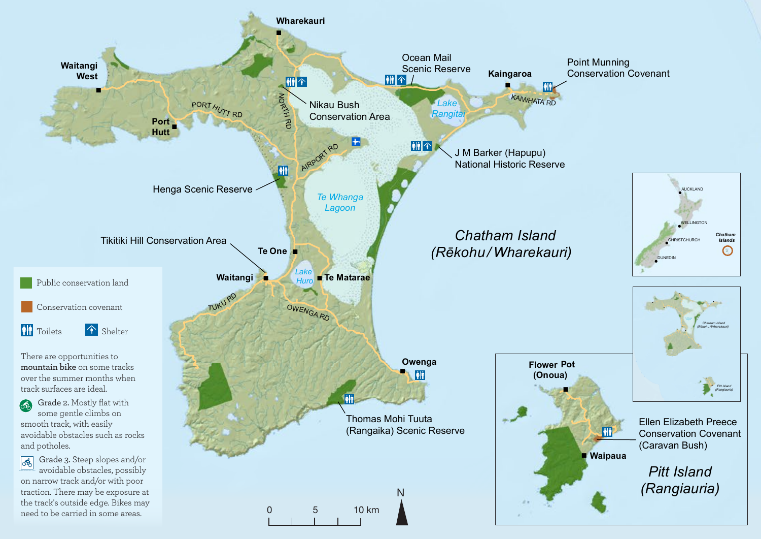